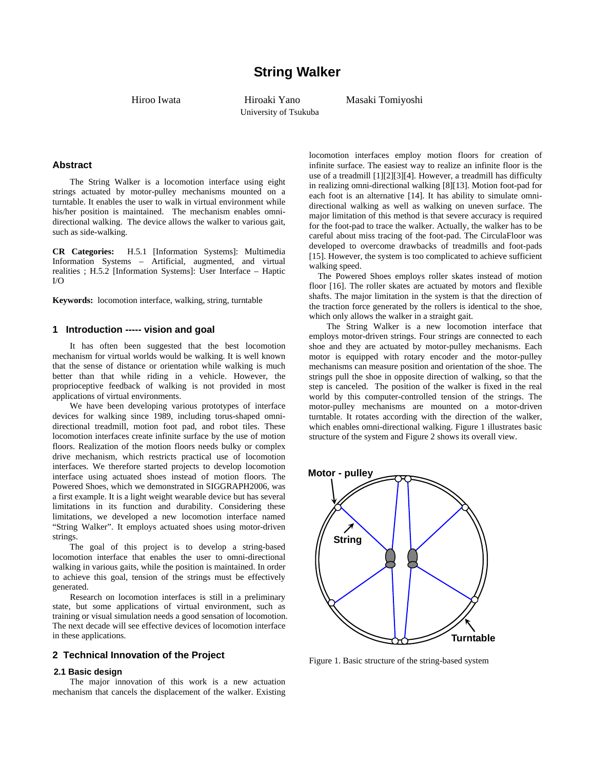University of Tsukuba

Hiroo Iwata Hiroaki Yano Masaki Tomiyoshi

# **Abstract**

The String Walker is a locomotion interface using eight strings actuated by motor-pulley mechanisms mounted on a turntable. It enables the user to walk in virtual environment while his/her position is maintained. The mechanism enables omnidirectional walking. The device allows the walker to various gait, such as side-walking.

**CR Categories:** H.5.1 [Information Systems]: Multimedia Information Systems – Artificial, augmented, and virtual realities ; H.5.2 [Information Systems]: User Interface – Haptic  $I/\Omega$ 

**Keywords:** locomotion interface, walking, string, turntable

### **1 Introduction ----- vision and goal**

It has often been suggested that the best locomotion mechanism for virtual worlds would be walking. It is well known that the sense of distance or orientation while walking is much better than that while riding in a vehicle. However, the proprioceptive feedback of walking is not provided in most applications of virtual environments.

We have been developing various prototypes of interface devices for walking since 1989, including torus-shaped omnidirectional treadmill, motion foot pad, and robot tiles. These locomotion interfaces create infinite surface by the use of motion floors. Realization of the motion floors needs bulky or complex drive mechanism, which restricts practical use of locomotion interfaces. We therefore started projects to develop locomotion interface using actuated shoes instead of motion floors. The Powered Shoes, which we demonstrated in SIGGRAPH2006, was a first example. It is a light weight wearable device but has several limitations in its function and durability. Considering these limitations, we developed a new locomotion interface named "String Walker". It employs actuated shoes using motor-driven strings.

The goal of this project is to develop a string-based locomotion interface that enables the user to omni-directional walking in various gaits, while the position is maintained. In order to achieve this goal, tension of the strings must be effectively generated.

Research on locomotion interfaces is still in a preliminary state, but some applications of virtual environment, such as training or visual simulation needs a good sensation of locomotion. The next decade will see effective devices of locomotion interface in these applications.

#### **2 Technical Innovation of the Project**

#### **2.1 Basic design**

The major innovation of this work is a new actuation mechanism that cancels the displacement of the walker. Existing

locomotion interfaces employ motion floors for creation of infinite surface. The easiest way to realize an infinite floor is the use of a treadmill [1][2][3][4]. However, a treadmill has difficulty in realizing omni-directional walking [8][13]. Motion foot-pad for each foot is an alternative [14]. It has ability to simulate omnidirectional walking as well as walking on uneven surface. The major limitation of this method is that severe accuracy is required for the foot-pad to trace the walker. Actually, the walker has to be careful about miss tracing of the foot-pad. The CirculaFloor was developed to overcome drawbacks of treadmills and foot-pads [15]. However, the system is too complicated to achieve sufficient walking speed.

The Powered Shoes employs roller skates instead of motion floor [16]. The roller skates are actuated by motors and flexible shafts. The major limitation in the system is that the direction of the traction force generated by the rollers is identical to the shoe, which only allows the walker in a straight gait.

The String Walker is a new locomotion interface that employs motor-driven strings. Four strings are connected to each shoe and they are actuated by motor-pulley mechanisms. Each motor is equipped with rotary encoder and the motor-pulley mechanisms can measure position and orientation of the shoe. The strings pull the shoe in opposite direction of walking, so that the step is canceled. The position of the walker is fixed in the real world by this computer-controlled tension of the strings. The motor-pulley mechanisms are mounted on a motor-driven turntable. It rotates according with the direction of the walker, which enables omni-directional walking. Figure 1 illustrates basic structure of the system and Figure 2 shows its overall view.



Figure 1. Basic structure of the string-based system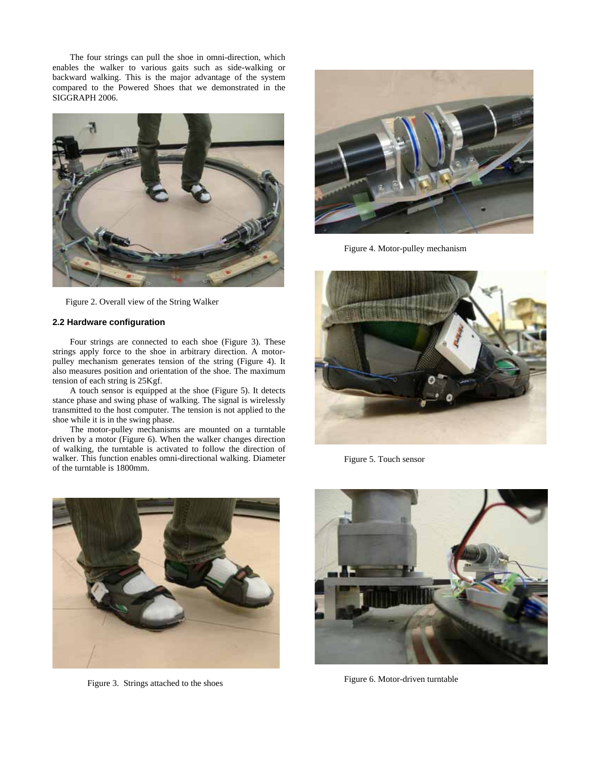The four strings can pull the shoe in omni-direction, which enables the walker to various gaits such as side-walking or backward walking. This is the major advantage of the system compared to the Powered Shoes that we demonstrated in the SIGGRAPH 2006.



Figure 2. Overall view of the String Walker

# **2.2 Hardware configuration**

Four strings are connected to each shoe (Figure 3). These strings apply force to the shoe in arbitrary direction. A motorpulley mechanism generates tension of the string (Figure 4). It also measures position and orientation of the shoe. The maximum tension of each string is 25Kgf.

A touch sensor is equipped at the shoe (Figure 5). It detects stance phase and swing phase of walking. The signal is wirelessly transmitted to the host computer. The tension is not applied to the shoe while it is in the swing phase.

The motor-pulley mechanisms are mounted on a turntable driven by a motor (Figure 6). When the walker changes direction of walking, the turntable is activated to follow the direction of walker. This function enables omni-directional walking. Diameter of the turntable is 1800mm.



Figure 3. Strings attached to the shoes



Figure 4. Motor-pulley mechanism



Figure 5. Touch sensor



Figure 6. Motor-driven turntable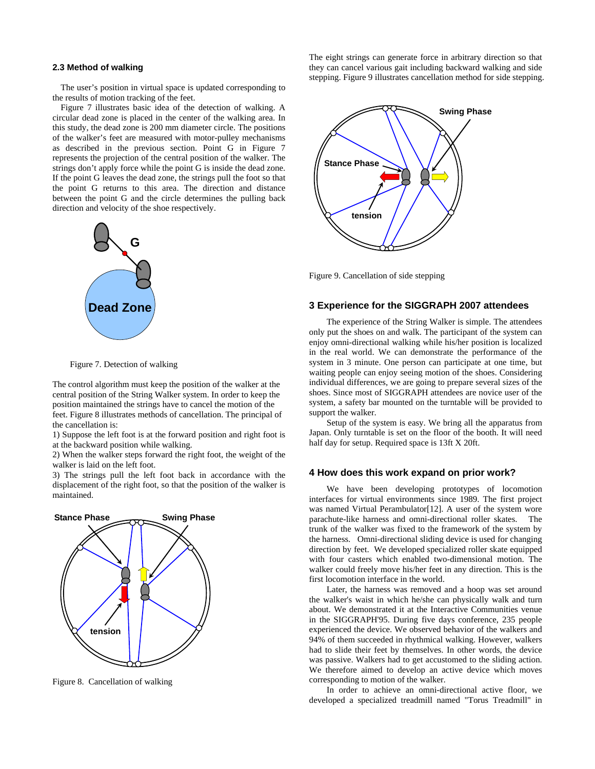#### **2.3 Method of walking**

The user's position in virtual space is updated corresponding to the results of motion tracking of the feet.

Figure 7 illustrates basic idea of the detection of walking. A circular dead zone is placed in the center of the walking area. In this study, the dead zone is 200 mm diameter circle. The positions of the walker's feet are measured with motor-pulley mechanisms as described in the previous section. Point G in Figure 7 represents the projection of the central position of the walker. The strings don't apply force while the point G is inside the dead zone. If the point G leaves the dead zone, the strings pull the foot so that the point G returns to this area. The direction and distance between the point G and the circle determines the pulling back direction and velocity of the shoe respectively.



Figure 7. Detection of walking

The control algorithm must keep the position of the walker at the central position of the String Walker system. In order to keep the position maintained the strings have to cancel the motion of the feet. Figure 8 illustrates methods of cancellation. The principal of the cancellation is:

1) Suppose the left foot is at the forward position and right foot is at the backward position while walking.

2) When the walker steps forward the right foot, the weight of the walker is laid on the left foot.

3) The strings pull the left foot back in accordance with the displacement of the right foot, so that the position of the walker is maintained.



Figure 8. Cancellation of walking

The eight strings can generate force in arbitrary direction so that they can cancel various gait including backward walking and side stepping. Figure 9 illustrates cancellation method for side stepping.



Figure 9. Cancellation of side stepping

### **3 Experience for the SIGGRAPH 2007 attendees**

The experience of the String Walker is simple. The attendees only put the shoes on and walk. The participant of the system can enjoy omni-directional walking while his/her position is localized in the real world. We can demonstrate the performance of the system in 3 minute. One person can participate at one time, but waiting people can enjoy seeing motion of the shoes. Considering individual differences, we are going to prepare several sizes of the shoes. Since most of SIGGRAPH attendees are novice user of the system, a safety bar mounted on the turntable will be provided to support the walker.

Setup of the system is easy. We bring all the apparatus from Japan. Only turntable is set on the floor of the booth. It will need half day for setup. Required space is 13ft X 20ft.

## **4 How does this work expand on prior work?**

We have been developing prototypes of locomotion interfaces for virtual environments since 1989. The first project was named Virtual Perambulator[12]. A user of the system wore parachute-like harness and omni-directional roller skates. The trunk of the walker was fixed to the framework of the system by the harness. Omni-directional sliding device is used for changing direction by feet. We developed specialized roller skate equipped with four casters which enabled two-dimensional motion. The walker could freely move his/her feet in any direction. This is the first locomotion interface in the world.

Later, the harness was removed and a hoop was set around the walker's waist in which he/she can physically walk and turn about. We demonstrated it at the Interactive Communities venue in the SIGGRAPH'95. During five days conference, 235 people experienced the device. We observed behavior of the walkers and 94% of them succeeded in rhythmical walking. However, walkers had to slide their feet by themselves. In other words, the device was passive. Walkers had to get accustomed to the sliding action. We therefore aimed to develop an active device which moves corresponding to motion of the walker.

In order to achieve an omni-directional active floor, we developed a specialized treadmill named "Torus Treadmill" in